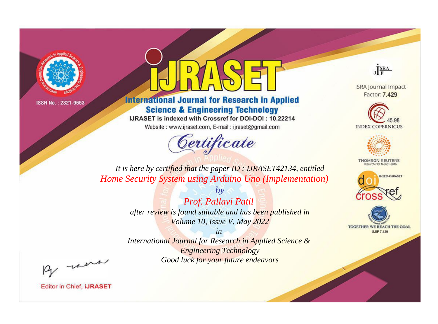



**International Journal for Research in Applied Science & Engineering Technology** 

IJRASET is indexed with Crossref for DOI-DOI: 10.22214

Website: www.ijraset.com, E-mail: ijraset@gmail.com



JERA

**ISRA Journal Impact** Factor: 7.429





**THOMSON REUTERS** 



TOGETHER WE REACH THE GOAL **SJIF 7.429** 

*It is here by certified that the paper ID : IJRASET42134, entitled Home Security System using Arduino Uno (Implementation)*

> *Prof. Pallavi Patil after review is found suitable and has been published in Volume 10, Issue V, May 2022*

*by*

*in* 

*International Journal for Research in Applied Science & Engineering Technology Good luck for your future endeavors*

By morn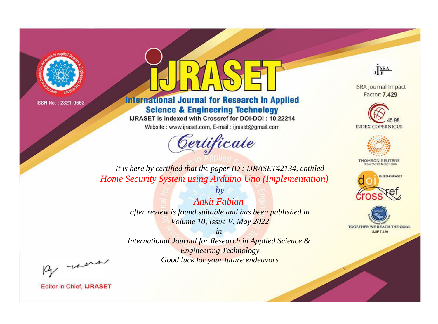



**International Journal for Research in Applied Science & Engineering Technology** 

IJRASET is indexed with Crossref for DOI-DOI: 10.22214

Website: www.ijraset.com, E-mail: ijraset@gmail.com



JERA

**ISRA Journal Impact** Factor: 7.429





**THOMSON REUTERS** 



TOGETHER WE REACH THE GOAL **SJIF 7.429** 

*It is here by certified that the paper ID : IJRASET42134, entitled Home Security System using Arduino Uno (Implementation)*

> *by Ankit Fabian after review is found suitable and has been published in Volume 10, Issue V, May 2022*

> > *in*

*International Journal for Research in Applied Science & Engineering Technology Good luck for your future endeavors*

By morn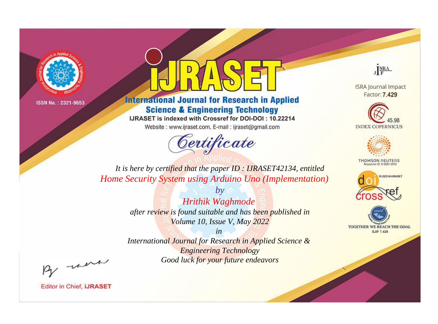



**International Journal for Research in Applied Science & Engineering Technology** 

IJRASET is indexed with Crossref for DOI-DOI: 10.22214

Website: www.ijraset.com, E-mail: ijraset@gmail.com



JERA

**ISRA Journal Impact** Factor: 7.429





**THOMSON REUTERS** 



TOGETHER WE REACH THE GOAL **SJIF 7.429** 

It is here by certified that the paper ID: IJRASET42134, entitled Home Security System using Arduino Uno (Implementation)

> $by$ **Hrithik Waghmode** after review is found suitable and has been published in Volume 10, Issue V, May 2022

 $in$ International Journal for Research in Applied Science & **Engineering Technology** Good luck for your future endeavors

By morn